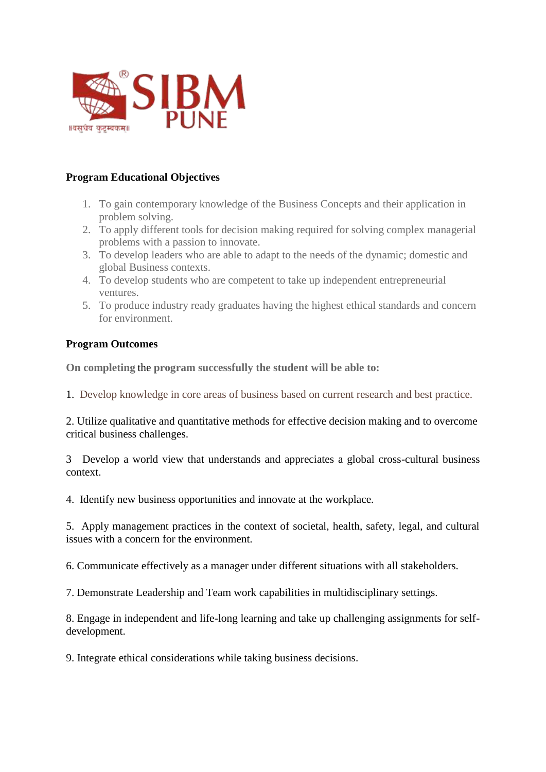

## **Program Educational Objectives**

- 1. To gain contemporary knowledge of the Business Concepts and their application in problem solving.
- 2. To apply different tools for decision making required for solving complex managerial problems with a passion to innovate.
- 3. To develop leaders who are able to adapt to the needs of the dynamic; domestic and global Business contexts.
- 4. To develop students who are competent to take up independent entrepreneurial ventures.
- 5. To produce industry ready graduates having the highest ethical standards and concern for environment.

## **Program Outcomes**

**On completing** the **program successfully the student will be able to:**

1. Develop knowledge in core areas of business based on current research and best practice.

2. Utilize qualitative and quantitative methods for effective decision making and to overcome critical business challenges.

3 Develop a world view that understands and appreciates a global cross-cultural business context.

4. Identify new business opportunities and innovate at the workplace.

5. Apply management practices in the context of societal, health, safety, legal, and cultural issues with a concern for the environment.

6. Communicate effectively as a manager under different situations with all stakeholders.

7. Demonstrate Leadership and Team work capabilities in multidisciplinary settings.

8. Engage in independent and life-long learning and take up challenging assignments for selfdevelopment.

9. Integrate ethical considerations while taking business decisions.